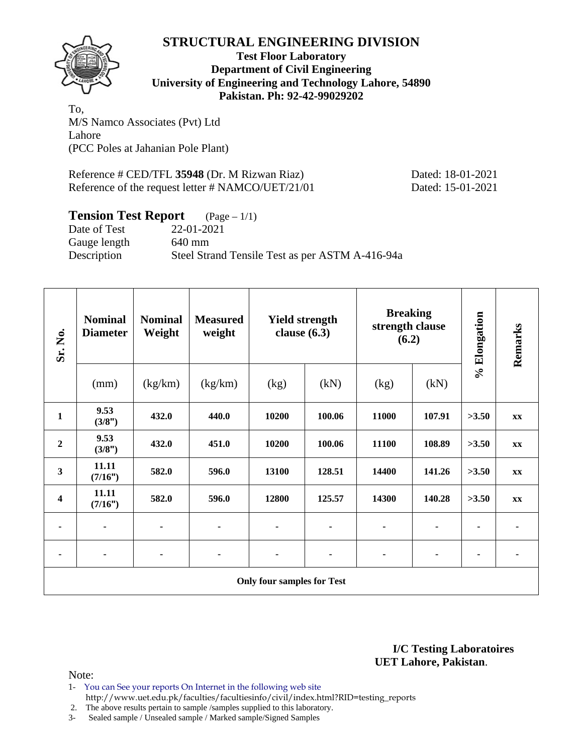

**Test Floor Laboratory Department of Civil Engineering University of Engineering and Technology Lahore, 54890 Pakistan. Ph: 92-42-99029202** 

To, M/S Namco Associates (Pvt) Ltd Lahore (PCC Poles at Jahanian Pole Plant)

Reference # CED/TFL 35948 (Dr. M Rizwan Riaz) Dated: 18-01-2021 Reference of the request letter # NAMCO/UET/21/01 Dated: 15-01-2021

### **Tension Test Report** (Page – 1/1)

Date of Test 22-01-2021 Gauge length 640 mm Description Steel Strand Tensile Test as per ASTM A-416-94a

| Sr. No.                           | <b>Nominal</b><br><b>Diameter</b> | <b>Nominal</b><br>Weight | <b>Measured</b><br>weight | <b>Yield strength</b><br>clause $(6.3)$ |        | <b>Breaking</b><br>strength clause<br>(6.2) |        | % Elongation | Remarks        |  |
|-----------------------------------|-----------------------------------|--------------------------|---------------------------|-----------------------------------------|--------|---------------------------------------------|--------|--------------|----------------|--|
|                                   | (mm)                              | (kg/km)                  | (kg/km)                   | (kg)                                    | (kN)   | (kg)                                        | (kN)   |              |                |  |
| $\mathbf{1}$                      | 9.53<br>(3/8")                    | 432.0                    | 440.0                     | 10200                                   | 100.06 | 11000                                       | 107.91 | >3.50        | XX             |  |
| $\boldsymbol{2}$                  | 9.53<br>(3/8")                    | 432.0                    | 451.0                     | 10200                                   | 100.06 | 11100                                       | 108.89 | >3.50        | <b>XX</b>      |  |
| 3                                 | 11.11<br>(7/16")                  | 582.0                    | 596.0                     | 13100                                   | 128.51 | 14400                                       | 141.26 | >3.50        | <b>XX</b>      |  |
| 4                                 | 11.11<br>(7/16")                  | 582.0                    | 596.0                     | 12800                                   | 125.57 | 14300                                       | 140.28 | >3.50        | XX             |  |
| ۰                                 |                                   |                          | ٠                         |                                         |        |                                             |        |              | $\blacksquare$ |  |
| ۰                                 | ٠                                 | $\blacksquare$           | ۰                         | $\blacksquare$                          | ٠      |                                             | ٠      | ٠            |                |  |
| <b>Only four samples for Test</b> |                                   |                          |                           |                                         |        |                                             |        |              |                |  |

**I/C Testing Laboratoires UET Lahore, Pakistan**.

- 1- You can See your reports On Internet in the following web site http://www.uet.edu.pk/faculties/facultiesinfo/civil/index.html?RID=testing\_reports
- 2. The above results pertain to sample /samples supplied to this laboratory.
- 3- Sealed sample / Unsealed sample / Marked sample/Signed Samples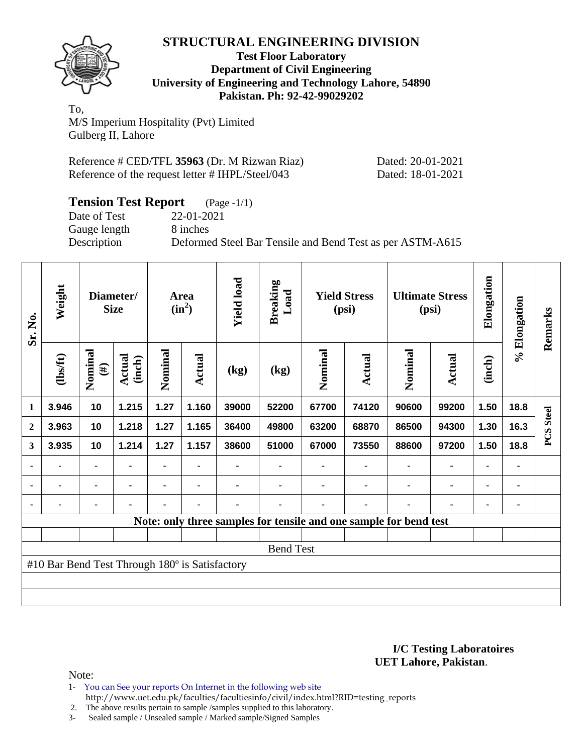

**Test Floor Laboratory Department of Civil Engineering University of Engineering and Technology Lahore, 54890 Pakistan. Ph: 92-42-99029202** 

To, M/S Imperium Hospitality (Pvt) Limited Gulberg II, Lahore

| Reference # CED/TFL 35963 (Dr. M Rizwan Riaz)    | Dated: 20-01-2021 |
|--------------------------------------------------|-------------------|
| Reference of the request letter # IHPL/Steel/043 | Dated: 18-01-2021 |

| <b>Tension Test Report</b> | $(Page - 1/1)$                                            |
|----------------------------|-----------------------------------------------------------|
| Date of Test               | 22-01-2021                                                |
| Gauge length               | 8 inches                                                  |
| Description                | Deformed Steel Bar Tensile and Bend Test as per ASTM-A615 |

| Sr. No.          | Weight                                         |                   | Diameter/<br><b>Size</b> |         | Area<br>$(in^2)$ | <b>Yield load</b> | <b>Breaking</b><br>Load |                                                                   | <b>Yield Stress</b><br>(psi) |         | <b>Ultimate Stress</b><br>(psi) | Elongation | % Elongation   | Remarks          |
|------------------|------------------------------------------------|-------------------|--------------------------|---------|------------------|-------------------|-------------------------|-------------------------------------------------------------------|------------------------------|---------|---------------------------------|------------|----------------|------------------|
|                  | (1bs/ft)                                       | Nominal<br>$(\#)$ | <b>Actual</b><br>(inch)  | Nominal | Actual           | (kg)              | (kg)                    | Nominal                                                           | Actual                       | Nominal | Actual                          | (inch)     |                |                  |
| 1                | 3.946                                          | 10                | 1.215                    | 1.27    | 1.160            | 39000             | 52200                   | 67700                                                             | 74120                        | 90600   | 99200                           | 1.50       | 18.8           |                  |
| $\boldsymbol{2}$ | 3.963                                          | 10                | 1.218                    | 1.27    | 1.165            | 36400             | 49800                   | 63200                                                             | 68870                        | 86500   | 94300                           | 1.30       | 16.3           | <b>PCS</b> Steel |
| 3                | 3.935                                          | 10                | 1.214                    | 1.27    | 1.157            | 38600             | 51000                   | 67000                                                             | 73550                        | 88600   | 97200                           | 1.50       | 18.8           |                  |
| ٠                |                                                | ۰                 |                          |         |                  |                   |                         |                                                                   |                              |         |                                 |            |                |                  |
| ۰                |                                                | ۰                 |                          |         |                  |                   |                         |                                                                   |                              |         |                                 |            | $\blacksquare$ |                  |
| $\blacksquare$   |                                                |                   |                          |         |                  |                   |                         |                                                                   |                              |         |                                 |            | ٠              |                  |
|                  |                                                |                   |                          |         |                  |                   |                         | Note: only three samples for tensile and one sample for bend test |                              |         |                                 |            |                |                  |
|                  |                                                |                   |                          |         |                  |                   |                         |                                                                   |                              |         |                                 |            |                |                  |
|                  |                                                |                   |                          |         |                  |                   | <b>Bend Test</b>        |                                                                   |                              |         |                                 |            |                |                  |
|                  | #10 Bar Bend Test Through 180° is Satisfactory |                   |                          |         |                  |                   |                         |                                                                   |                              |         |                                 |            |                |                  |
|                  |                                                |                   |                          |         |                  |                   |                         |                                                                   |                              |         |                                 |            |                |                  |
|                  |                                                |                   |                          |         |                  |                   |                         |                                                                   |                              |         |                                 |            |                |                  |

#### **I/C Testing Laboratoires UET Lahore, Pakistan**.

- 1- You can See your reports On Internet in the following web site http://www.uet.edu.pk/faculties/facultiesinfo/civil/index.html?RID=testing\_reports
- 2. The above results pertain to sample /samples supplied to this laboratory.
- 3- Sealed sample / Unsealed sample / Marked sample/Signed Samples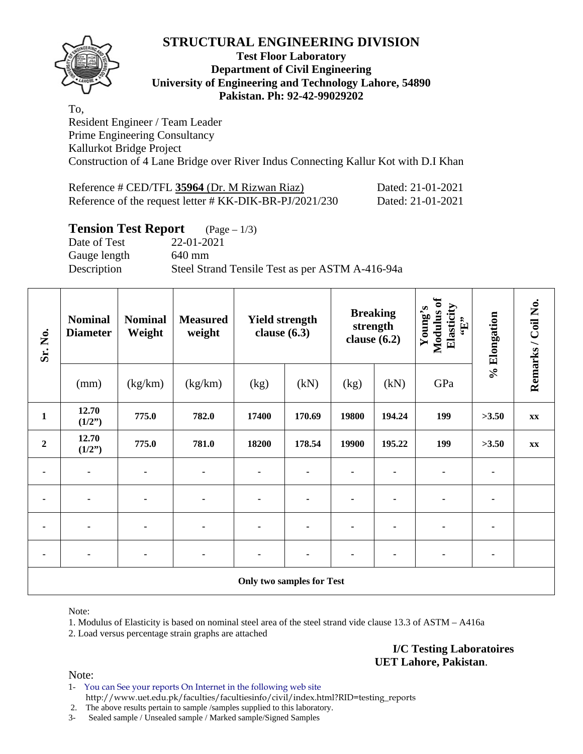

#### **Test Floor Laboratory Department of Civil Engineering University of Engineering and Technology Lahore, 54890 Pakistan. Ph: 92-42-99029202**

To, Resident Engineer / Team Leader Prime Engineering Consultancy Kallurkot Bridge Project Construction of 4 Lane Bridge over River Indus Connecting Kallur Kot with D.I Khan

| Reference # CED/TFL 35964 (Dr. M Rizwan Riaz)           | Dated: 21-01-2021 |
|---------------------------------------------------------|-------------------|
| Reference of the request letter # KK-DIK-BR-PJ/2021/230 | Dated: 21-01-2021 |

### **Tension Test Report** (Page – 1/3)

Date of Test 22-01-2021 Gauge length 640 mm Description Steel Strand Tensile Test as per ASTM A-416-94a

| Sr. No.        | <b>Nominal</b><br><b>Diameter</b> | <b>Nominal</b><br>Weight | <b>Measured</b><br>weight | <b>Yield strength</b><br>clause $(6.3)$ |                                  | clause $(6.2)$ | <b>Breaking</b><br>strength | Modulus of<br>Elasticity<br>Young's<br>$\mathbf{f}$ . | % Elongation | Remarks / Coil No. |
|----------------|-----------------------------------|--------------------------|---------------------------|-----------------------------------------|----------------------------------|----------------|-----------------------------|-------------------------------------------------------|--------------|--------------------|
|                | (mm)                              | (kg/km)                  | (kg/km)                   | (kg)                                    | (kN)                             | (kg)           | (kN)                        | GPa                                                   |              |                    |
| $\mathbf{1}$   | 12.70<br>(1/2")                   | 775.0                    | 782.0                     | 17400                                   | 170.69                           | 19800          | 194.24                      | 199                                                   | >3.50        | XX                 |
| $\overline{2}$ | 12.70<br>(1/2")                   | 775.0                    | 781.0                     | 18200                                   | 178.54                           | 19900          | 195.22                      | 199                                                   | >3.50        | XX                 |
|                | $\blacksquare$                    | $\blacksquare$           | ٠                         |                                         |                                  |                |                             | ۰                                                     |              |                    |
|                | $\blacksquare$                    | $\blacksquare$           | ٠                         |                                         |                                  |                |                             | ۰                                                     |              |                    |
|                | $\blacksquare$                    | ٠                        | ٠                         |                                         |                                  |                |                             |                                                       |              |                    |
|                | $\blacksquare$                    |                          |                           |                                         |                                  |                |                             |                                                       |              |                    |
|                |                                   |                          |                           |                                         | <b>Only two samples for Test</b> |                |                             |                                                       |              |                    |

Note:

1. Modulus of Elasticity is based on nominal steel area of the steel strand vide clause 13.3 of ASTM – A416a 2. Load versus percentage strain graphs are attached

> **I/C Testing Laboratoires UET Lahore, Pakistan**.

Note:

1- You can See your reports On Internet in the following web site http://www.uet.edu.pk/faculties/facultiesinfo/civil/index.html?RID=testing\_reports

2. The above results pertain to sample /samples supplied to this laboratory.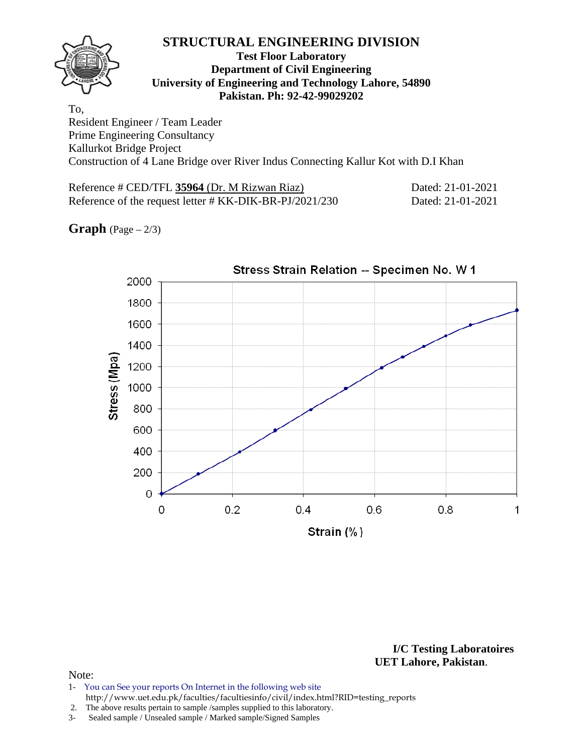#### **Test Floor Laboratory Department of Civil Engineering University of Engineering and Technology Lahore, 54890 Pakistan. Ph: 92-42-99029202**

To, Resident Engineer / Team Leader Prime Engineering Consultancy Kallurkot Bridge Project Construction of 4 Lane Bridge over River Indus Connecting Kallur Kot with D.I Khan

Reference # CED/TFL 35964 (Dr. M Rizwan Riaz) Dated: 21-01-2021 Reference of the request letter # KK-DIK-BR-PJ/2021/230 Dated: 21-01-2021

**Graph**  $(Page - 2/3)$ 



**I/C Testing Laboratoires UET Lahore, Pakistan**.

- 1- You can See your reports On Internet in the following web site http://www.uet.edu.pk/faculties/facultiesinfo/civil/index.html?RID=testing\_reports
- 2. The above results pertain to sample /samples supplied to this laboratory.
- 3- Sealed sample / Unsealed sample / Marked sample/Signed Samples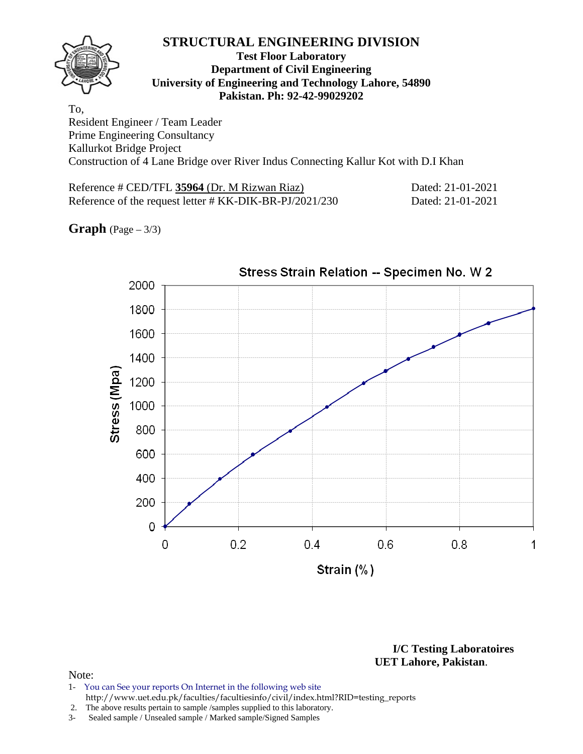#### **Test Floor Laboratory Department of Civil Engineering University of Engineering and Technology Lahore, 54890 Pakistan. Ph: 92-42-99029202**

To, Resident Engineer / Team Leader Prime Engineering Consultancy Kallurkot Bridge Project Construction of 4 Lane Bridge over River Indus Connecting Kallur Kot with D.I Khan

Reference # CED/TFL 35964 (Dr. M Rizwan Riaz) Dated: 21-01-2021 Reference of the request letter # KK-DIK-BR-PJ/2021/230 Dated: 21-01-2021

**Graph** (Page – 3/3)



**I/C Testing Laboratoires UET Lahore, Pakistan**.

- 1- You can See your reports On Internet in the following web site http://www.uet.edu.pk/faculties/facultiesinfo/civil/index.html?RID=testing\_reports
- 2. The above results pertain to sample /samples supplied to this laboratory.
- 3- Sealed sample / Unsealed sample / Marked sample/Signed Samples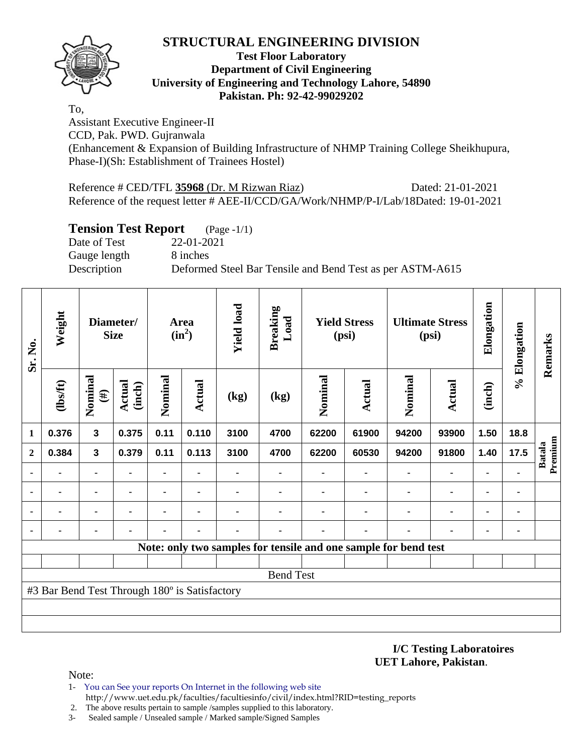

#### **Test Floor Laboratory Department of Civil Engineering University of Engineering and Technology Lahore, 54890 Pakistan. Ph: 92-42-99029202**

To,

Assistant Executive Engineer-II CCD, Pak. PWD. Gujranwala (Enhancement & Expansion of Building Infrastructure of NHMP Training College Sheikhupura, Phase-I)(Sh: Establishment of Trainees Hostel)

Reference # CED/TFL **35968** (Dr. M Rizwan Riaz) Dated: 21-01-2021 Reference of the request letter # AEE-II/CCD/GA/Work/NHMP/P-I/Lab/18Dated: 19-01-2021

## **Tension Test Report** (Page -1/1)

Date of Test 22-01-2021 Gauge length 8 inches

Description Deformed Steel Bar Tensile and Bend Test as per ASTM-A615

| Sr. No.        | Weight                                        |                   | Diameter/<br><b>Size</b> |         | Area<br>$(in^2)$ | <b>Yield load</b> | <b>Breaking</b><br>Load |         | <b>Yield Stress</b><br>(psi)                                    |         | <b>Ultimate Stress</b><br>(psi) | Elongation | % Elongation   | Remarks                  |
|----------------|-----------------------------------------------|-------------------|--------------------------|---------|------------------|-------------------|-------------------------|---------|-----------------------------------------------------------------|---------|---------------------------------|------------|----------------|--------------------------|
|                | $\frac{2}{10}$                                | Nominal<br>$(\#)$ | Actual<br>(inch)         | Nominal | Actual           | (kg)              | (kg)                    | Nominal | <b>Actual</b>                                                   | Nominal | Actual                          | (inch)     |                |                          |
| $\mathbf{1}$   | 0.376                                         | $\mathbf{3}$      | 0.375                    | 0.11    | 0.110            | 3100              | 4700                    | 62200   | 61900                                                           | 94200   | 93900                           | 1.50       | 18.8           |                          |
| $\mathbf{2}$   | 0.384                                         | $\mathbf 3$       | 0.379                    | 0.11    | 0.113            | 3100              | 4700                    | 62200   | 60530                                                           | 94200   | 91800                           | 1.40       | 17.5           | Premium<br><b>Batala</b> |
| $\blacksquare$ |                                               | $\blacksquare$    |                          | -       |                  |                   |                         |         |                                                                 |         | ٠                               |            |                |                          |
|                | $\blacksquare$                                |                   |                          |         |                  |                   |                         |         |                                                                 |         | $\blacksquare$                  |            | ٠              |                          |
|                |                                               |                   |                          |         |                  |                   |                         |         |                                                                 |         |                                 |            | $\blacksquare$ |                          |
| ٠              |                                               |                   |                          |         |                  |                   |                         |         |                                                                 |         |                                 |            | ٠              |                          |
|                |                                               |                   |                          |         |                  |                   |                         |         | Note: only two samples for tensile and one sample for bend test |         |                                 |            |                |                          |
|                |                                               |                   |                          |         |                  |                   |                         |         |                                                                 |         |                                 |            |                |                          |
|                |                                               |                   |                          |         |                  |                   | <b>Bend Test</b>        |         |                                                                 |         |                                 |            |                |                          |
|                | #3 Bar Bend Test Through 180° is Satisfactory |                   |                          |         |                  |                   |                         |         |                                                                 |         |                                 |            |                |                          |
|                |                                               |                   |                          |         |                  |                   |                         |         |                                                                 |         |                                 |            |                |                          |
|                |                                               |                   |                          |         |                  |                   |                         |         |                                                                 |         |                                 |            |                |                          |

**I/C Testing Laboratoires UET Lahore, Pakistan**.

- 1- You can See your reports On Internet in the following web site http://www.uet.edu.pk/faculties/facultiesinfo/civil/index.html?RID=testing\_reports
- 2. The above results pertain to sample /samples supplied to this laboratory.
- 3- Sealed sample / Unsealed sample / Marked sample/Signed Samples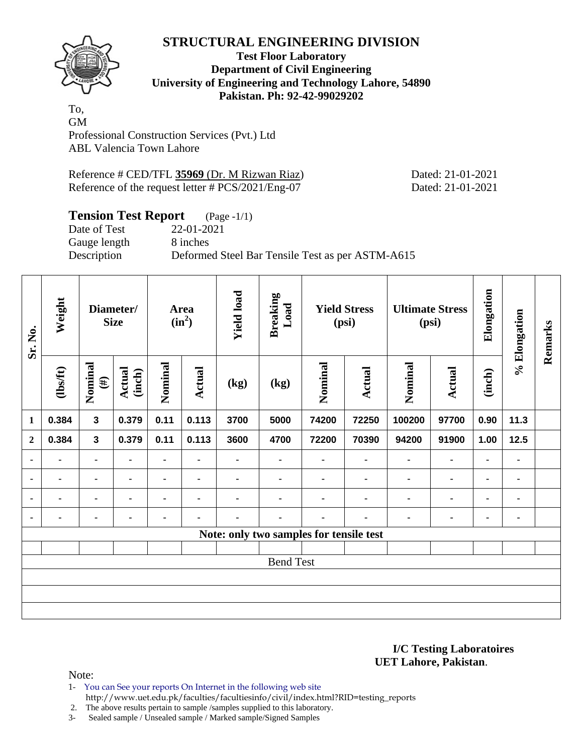

#### **Test Floor Laboratory Department of Civil Engineering University of Engineering and Technology Lahore, 54890 Pakistan. Ph: 92-42-99029202**

To, GM Professional Construction Services (Pvt.) Ltd ABL Valencia Town Lahore

Reference # CED/TFL **35969** (Dr. M Rizwan Riaz) Dated: 21-01-2021 Reference of the request letter # PCS/2021/Eng-07 Dated: 21-01-2021

## **Tension Test Report** (Page -1/1)

Gauge length 8 inches

Date of Test 22-01-2021 Description Deformed Steel Bar Tensile Test as per ASTM-A615

| Sr. No.        | Weight         |                   | Diameter/<br><b>Size</b> |                | Area<br>$(in^2)$ | <b>Yield load</b> | <b>Breaking</b><br>Load                 |         | <b>Yield Stress</b><br>(psi) |                | <b>Ultimate Stress</b><br>(psi) | Elongation     | % Elongation | Remarks |
|----------------|----------------|-------------------|--------------------------|----------------|------------------|-------------------|-----------------------------------------|---------|------------------------------|----------------|---------------------------------|----------------|--------------|---------|
|                | $\frac{2}{10}$ | Nominal<br>$(\#)$ | <b>Actual</b><br>(inch)  | Nominal        | Actual           | (kg)              | (kg)                                    | Nominal | <b>Actual</b>                | Nominal        | <b>Actual</b>                   | (inch)         |              |         |
| $\mathbf{1}$   | 0.384          | $\mathbf{3}$      | 0.379                    | 0.11           | 0.113            | 3700              | 5000                                    | 74200   | 72250                        | 100200         | 97700                           | 0.90           | 11.3         |         |
| $\overline{2}$ | 0.384          | 3                 | 0.379                    | 0.11           | 0.113            | 3600              | 4700                                    | 72200   | 70390                        | 94200          | 91900                           | 1.00           | 12.5         |         |
| $\blacksquare$ | -              | $\blacksquare$    | ٠                        | $\blacksquare$ | $\blacksquare$   |                   | ٠                                       |         | $\blacksquare$               | $\blacksquare$ | ۰                               | $\blacksquare$ | ٠            |         |
| $\blacksquare$ |                | $\blacksquare$    |                          | $\blacksquare$ | $\blacksquare$   |                   | $\blacksquare$                          |         |                              | $\blacksquare$ | ۰                               | ۰              | ٠            |         |
| ٠              | $\blacksquare$ |                   |                          | $\blacksquare$ | $\blacksquare$   | ۰                 | $\blacksquare$                          |         | ٠                            | $\blacksquare$ | ۰                               | ۰              | ۰            |         |
| $\blacksquare$ |                |                   | $\blacksquare$           | ٠              | $\blacksquare$   | ۰                 | ۰                                       |         | ٠                            | $\blacksquare$ | ۰                               | ۰              | ۰            |         |
|                |                |                   |                          |                |                  |                   | Note: only two samples for tensile test |         |                              |                |                                 |                |              |         |
|                |                |                   |                          |                |                  |                   |                                         |         |                              |                |                                 |                |              |         |
|                |                |                   |                          |                |                  |                   | <b>Bend Test</b>                        |         |                              |                |                                 |                |              |         |
|                |                |                   |                          |                |                  |                   |                                         |         |                              |                |                                 |                |              |         |
|                |                |                   |                          |                |                  |                   |                                         |         |                              |                |                                 |                |              |         |
|                |                |                   |                          |                |                  |                   |                                         |         |                              |                |                                 |                |              |         |

**I/C Testing Laboratoires UET Lahore, Pakistan**.

Note:

1- You can See your reports On Internet in the following web site

http://www.uet.edu.pk/faculties/facultiesinfo/civil/index.html?RID=testing\_reports

2. The above results pertain to sample /samples supplied to this laboratory.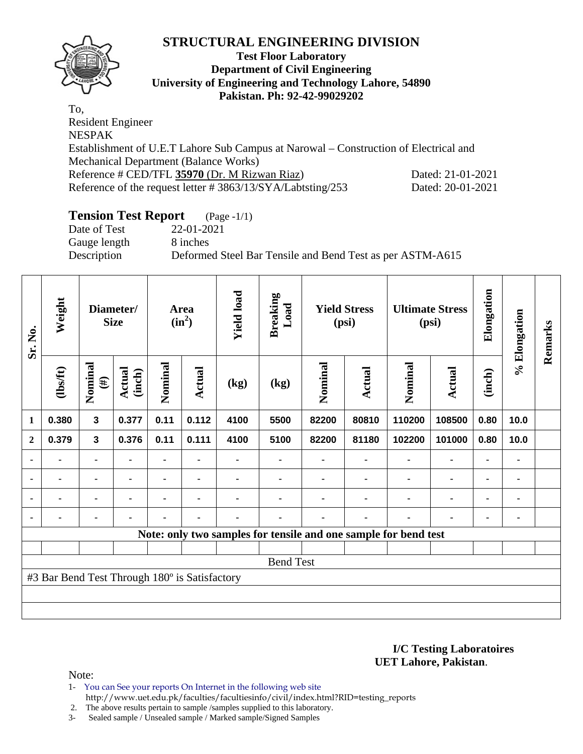

#### **Test Floor Laboratory Department of Civil Engineering University of Engineering and Technology Lahore, 54890 Pakistan. Ph: 92-42-99029202**

To, Resident Engineer NESPAK Establishment of U.E.T Lahore Sub Campus at Narowal – Construction of Electrical and Mechanical Department (Balance Works) Reference # CED/TFL **35970** (Dr. M Rizwan Riaz) Dated: 21-01-2021 Reference of the request letter # 3863/13/SYA/Labtsting/253 Dated: 20-01-2021

# **Tension Test Report** (Page -1/1)

Date of Test 22-01-2021 Gauge length 8 inches

Description Deformed Steel Bar Tensile and Bend Test as per ASTM-A615

| Sr. No.        | Weight                                        |                         | Diameter/<br><b>Size</b> |         | <b>Area</b><br>$(in^2)$ | <b>Yield load</b> | <b>Breaking</b><br>Load |         | <b>Yield Stress</b><br>(psi) |                                                                 | <b>Ultimate Stress</b><br>(psi) | Elongation     | % Elongation | Remarks |
|----------------|-----------------------------------------------|-------------------------|--------------------------|---------|-------------------------|-------------------|-------------------------|---------|------------------------------|-----------------------------------------------------------------|---------------------------------|----------------|--------------|---------|
|                | $\frac{2}{10}$                                | Nominal<br>$(\#)$       | <b>Actual</b><br>(inch)  | Nominal | <b>Actual</b>           | (kg)              | (kg)                    | Nominal | Actual                       | Nominal                                                         | Actual                          | (inch)         |              |         |
| $\mathbf{1}$   | 0.380                                         | $\overline{\mathbf{3}}$ | 0.377                    | 0.11    | 0.112                   | 4100              | 5500                    | 82200   | 80810                        | 110200                                                          | 108500                          | 0.80           | 10.0         |         |
| $\mathbf{2}$   | 0.379                                         | 3                       | 0.376                    | 0.11    | 0.111                   | 4100              | 5100                    | 82200   | 81180                        | 102200                                                          | 101000                          | 0.80           | 10.0         |         |
| ٠              |                                               | $\blacksquare$          |                          |         |                         |                   |                         |         |                              |                                                                 |                                 |                |              |         |
| $\blacksquare$ | ٠                                             | ٠                       | $\blacksquare$           | ۰       | $\blacksquare$          |                   |                         |         | $\blacksquare$               |                                                                 | ٠                               | $\blacksquare$ | ٠            |         |
| $\blacksquare$ |                                               | ۰                       | $\blacksquare$           |         |                         |                   |                         |         |                              |                                                                 | ٠                               | $\blacksquare$ | ۰            |         |
|                |                                               | ۰                       | ٠                        | ۰       | $\blacksquare$          | ۰                 |                         |         | ۰                            |                                                                 | ٠                               | $\blacksquare$ | ٠            |         |
|                |                                               |                         |                          |         |                         |                   |                         |         |                              | Note: only two samples for tensile and one sample for bend test |                                 |                |              |         |
|                |                                               |                         |                          |         |                         |                   |                         |         |                              |                                                                 |                                 |                |              |         |
|                |                                               |                         |                          |         |                         |                   | <b>Bend Test</b>        |         |                              |                                                                 |                                 |                |              |         |
|                | #3 Bar Bend Test Through 180° is Satisfactory |                         |                          |         |                         |                   |                         |         |                              |                                                                 |                                 |                |              |         |
|                |                                               |                         |                          |         |                         |                   |                         |         |                              |                                                                 |                                 |                |              |         |
|                |                                               |                         |                          |         |                         |                   |                         |         |                              |                                                                 |                                 |                |              |         |

**I/C Testing Laboratoires UET Lahore, Pakistan**.

Note:

1- You can See your reports On Internet in the following web site http://www.uet.edu.pk/faculties/facultiesinfo/civil/index.html?RID=testing\_reports

2. The above results pertain to sample /samples supplied to this laboratory.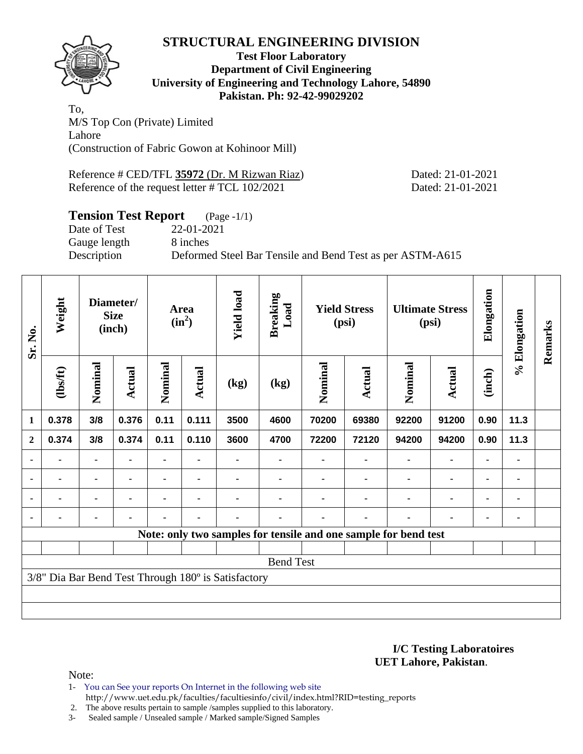

#### **Test Floor Laboratory Department of Civil Engineering University of Engineering and Technology Lahore, 54890 Pakistan. Ph: 92-42-99029202**

To, M/S Top Con (Private) Limited Lahore (Construction of Fabric Gowon at Kohinoor Mill)

Reference # CED/TFL **35972** (Dr. M Rizwan Riaz) Dated: 21-01-2021 Reference of the request letter # TCL 102/2021 Dated: 21-01-2021

## **Tension Test Report** (Page -1/1)

Date of Test 22-01-2021 Gauge length 8 inches

Description Deformed Steel Bar Tensile and Bend Test as per ASTM-A615

| Sr. No.        | Weight   |                | Diameter/<br><b>Size</b><br>(inch) |         | Area<br>$(in^2)$ | <b>Yield load</b>                                   | <b>Breaking</b><br>Load                                         |         | <b>Yield Stress</b><br>(psi) |                | <b>Ultimate Stress</b><br>(psi) | Elongation     | % Elongation   | Remarks |
|----------------|----------|----------------|------------------------------------|---------|------------------|-----------------------------------------------------|-----------------------------------------------------------------|---------|------------------------------|----------------|---------------------------------|----------------|----------------|---------|
|                | (lbs/ft) | Nominal        | <b>Actual</b>                      | Nominal | Actual           | (kg)                                                | (kg)                                                            | Nominal | Actual                       | Nominal        | <b>Actual</b>                   | (inch)         |                |         |
| 1              | 0.378    | 3/8            | 0.376                              | 0.11    | 0.111            | 3500                                                | 4600                                                            | 70200   | 69380                        | 92200          | 91200                           | 0.90           | 11.3           |         |
| $\overline{2}$ | 0.374    | 3/8            | 0.374                              | 0.11    | 0.110            | 3600                                                | 4700                                                            | 72200   | 72120                        | 94200          | 94200                           | 0.90           | 11.3           |         |
| $\blacksquare$ | ۰        | ۰              |                                    |         |                  |                                                     |                                                                 |         | $\blacksquare$               | $\blacksquare$ | ۰                               | ۰              |                |         |
| $\blacksquare$ | -        |                |                                    |         | $\blacksquare$   |                                                     |                                                                 |         | $\blacksquare$               | $\blacksquare$ | $\blacksquare$                  | ۰              | $\blacksquare$ |         |
| ٠              | ۰        |                |                                    |         | $\blacksquare$   |                                                     |                                                                 |         |                              | $\blacksquare$ | ۰                               | ۰              |                |         |
|                |          | $\blacksquare$ |                                    |         | $\blacksquare$   |                                                     |                                                                 |         | $\blacksquare$               |                | $\blacksquare$                  | $\blacksquare$ |                |         |
|                |          |                |                                    |         |                  |                                                     | Note: only two samples for tensile and one sample for bend test |         |                              |                |                                 |                |                |         |
|                |          |                |                                    |         |                  |                                                     |                                                                 |         |                              |                |                                 |                |                |         |
|                |          |                |                                    |         |                  |                                                     | <b>Bend Test</b>                                                |         |                              |                |                                 |                |                |         |
|                |          |                |                                    |         |                  | 3/8" Dia Bar Bend Test Through 180° is Satisfactory |                                                                 |         |                              |                |                                 |                |                |         |
|                |          |                |                                    |         |                  |                                                     |                                                                 |         |                              |                |                                 |                |                |         |
|                |          |                |                                    |         |                  |                                                     |                                                                 |         |                              |                |                                 |                |                |         |

#### **I/C Testing Laboratoires UET Lahore, Pakistan**.

- 1- You can See your reports On Internet in the following web site http://www.uet.edu.pk/faculties/facultiesinfo/civil/index.html?RID=testing\_reports
- 2. The above results pertain to sample /samples supplied to this laboratory.
- 3- Sealed sample / Unsealed sample / Marked sample/Signed Samples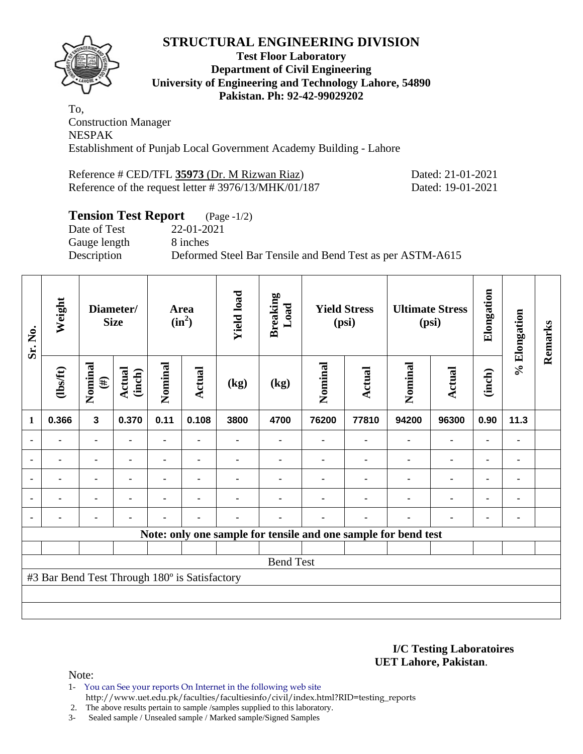

#### **Test Floor Laboratory Department of Civil Engineering University of Engineering and Technology Lahore, 54890 Pakistan. Ph: 92-42-99029202**

To, Construction Manager NESPAK Establishment of Punjab Local Government Academy Building - Lahore

Reference # CED/TFL **35973** (Dr. M Rizwan Riaz) Dated: 21-01-2021 Reference of the request letter # 3976/13/MHK/01/187 Dated: 19-01-2021

## **Tension Test Report** (Page -1/2)

Date of Test 22-01-2021 Gauge length 8 inches

Description Deformed Steel Bar Tensile and Bend Test as per ASTM-A615

| Sr. No.        | Weight                                        |                         | Diameter/<br><b>Size</b> |                | <b>Area</b><br>$(in^2)$ | <b>Yield load</b> | <b>Breaking</b><br>Load                                        |         | <b>Yield Stress</b><br>(psi) |                | <b>Ultimate Stress</b><br>(psi) | Elongation     | % Elongation | Remarks |
|----------------|-----------------------------------------------|-------------------------|--------------------------|----------------|-------------------------|-------------------|----------------------------------------------------------------|---------|------------------------------|----------------|---------------------------------|----------------|--------------|---------|
|                | $\frac{2}{10}$                                | Nominal<br>$(\#)$       | Actual<br>(inch)         | Nominal        | Actual                  | (kg)              | (kg)                                                           | Nominal | <b>Actual</b>                | Nominal        | <b>Actual</b>                   | (inch)         |              |         |
| $\mathbf{1}$   | 0.366                                         | $\overline{\mathbf{3}}$ | 0.370                    | 0.11           | 0.108                   | 3800              | 4700                                                           | 76200   | 77810                        | 94200          | 96300                           | 0.90           | 11.3         |         |
|                | $\blacksquare$                                | $\blacksquare$          | $\blacksquare$           | ä,             | $\blacksquare$          |                   |                                                                |         | $\blacksquare$               | $\blacksquare$ | ۰                               | $\blacksquare$ |              |         |
|                |                                               | ۰                       |                          |                |                         |                   |                                                                |         |                              | ٠              | $\blacksquare$                  | ٠              |              |         |
| $\blacksquare$ | $\blacksquare$                                |                         |                          |                |                         |                   |                                                                |         |                              |                | $\blacksquare$                  | $\blacksquare$ |              |         |
| $\blacksquare$ |                                               | $\blacksquare$          | $\blacksquare$           | $\blacksquare$ |                         |                   |                                                                |         | $\blacksquare$               | ٠              | ۰                               | ۰              | ٠            |         |
| $\blacksquare$ | $\blacksquare$                                | $\blacksquare$          | ٠                        |                | ٠                       |                   |                                                                |         | $\blacksquare$               | ٠              | $\blacksquare$                  | ۰              |              |         |
|                |                                               |                         |                          |                |                         |                   | Note: only one sample for tensile and one sample for bend test |         |                              |                |                                 |                |              |         |
|                |                                               |                         |                          |                |                         |                   |                                                                |         |                              |                |                                 |                |              |         |
|                |                                               |                         |                          |                |                         |                   | <b>Bend Test</b>                                               |         |                              |                |                                 |                |              |         |
|                | #3 Bar Bend Test Through 180° is Satisfactory |                         |                          |                |                         |                   |                                                                |         |                              |                |                                 |                |              |         |
|                |                                               |                         |                          |                |                         |                   |                                                                |         |                              |                |                                 |                |              |         |
|                |                                               |                         |                          |                |                         |                   |                                                                |         |                              |                |                                 |                |              |         |

**I/C Testing Laboratoires UET Lahore, Pakistan**.

Note:

1- You can See your reports On Internet in the following web site http://www.uet.edu.pk/faculties/facultiesinfo/civil/index.html?RID=testing\_reports

2. The above results pertain to sample /samples supplied to this laboratory.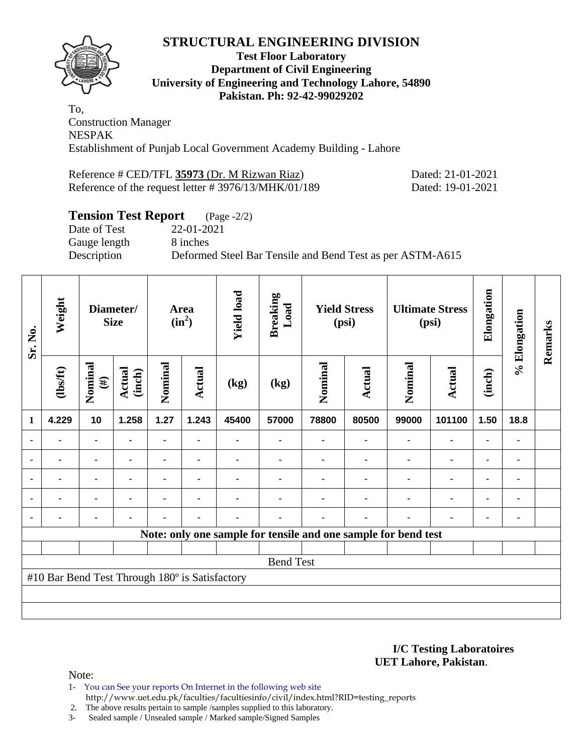

#### **Test Floor Laboratory Department of Civil Engineering University of Engineering and Technology Lahore, 54890 Pakistan. Ph: 92-42-99029202**

To, Construction Manager NESPAK Establishment of Punjab Local Government Academy Building - Lahore

Reference # CED/TFL **35973** (Dr. M Rizwan Riaz) Dated: 21-01-2021 Reference of the request letter # 3976/13/MHK/01/189 Dated: 19-01-2021

## **Tension Test Report** (Page -2/2)

Date of Test 22-01-2021 Gauge length 8 inches

Description Deformed Steel Bar Tensile and Bend Test as per ASTM-A615

| Sr. No.        | Weight                                         |                   | Diameter/<br><b>Size</b> |         | <b>Area</b><br>$(in^2)$ | <b>Yield load</b> | <b>Breaking</b><br>Load |                                                                | <b>Yield Stress</b><br>(psi) |                | <b>Ultimate Stress</b><br>(psi) | Elongation     | % Elongation | Remarks |
|----------------|------------------------------------------------|-------------------|--------------------------|---------|-------------------------|-------------------|-------------------------|----------------------------------------------------------------|------------------------------|----------------|---------------------------------|----------------|--------------|---------|
|                | $\frac{2}{10}$                                 | Nominal<br>$(\#)$ | Actual<br>(inch)         | Nominal | <b>Actual</b>           | (kg)              | (kg)                    | Nominal                                                        | <b>Actual</b>                | Nominal        | <b>Actual</b>                   | (inch)         |              |         |
| $\mathbf{1}$   | 4.229                                          | 10                | 1.258                    | 1.27    | 1.243                   | 45400             | 57000                   | 78800                                                          | 80500                        | 99000          | 101100                          | 1.50           | 18.8         |         |
|                | $\blacksquare$                                 | $\blacksquare$    | $\blacksquare$           | -       |                         |                   |                         |                                                                |                              | $\blacksquare$ | $\blacksquare$                  | $\blacksquare$ |              |         |
| ٠              |                                                | ۰                 |                          |         |                         |                   |                         |                                                                |                              |                | ۰                               | ٠              |              |         |
| $\blacksquare$ | $\blacksquare$                                 | $\blacksquare$    | $\blacksquare$           |         | $\blacksquare$          |                   |                         |                                                                |                              | ٠              | $\blacksquare$                  | ۰              |              |         |
|                |                                                | ۰                 | $\blacksquare$           | -       | ٠                       |                   |                         |                                                                |                              | ٠              | ۰                               | ٠              |              |         |
|                | ۰                                              |                   | $\blacksquare$           | -       | $\blacksquare$          | ۰                 |                         |                                                                | $\blacksquare$               | ٠              | ۰                               | ۰              |              |         |
|                |                                                |                   |                          |         |                         |                   |                         | Note: only one sample for tensile and one sample for bend test |                              |                |                                 |                |              |         |
|                |                                                |                   |                          |         |                         |                   |                         |                                                                |                              |                |                                 |                |              |         |
|                |                                                |                   |                          |         |                         |                   | <b>Bend Test</b>        |                                                                |                              |                |                                 |                |              |         |
|                | #10 Bar Bend Test Through 180° is Satisfactory |                   |                          |         |                         |                   |                         |                                                                |                              |                |                                 |                |              |         |
|                |                                                |                   |                          |         |                         |                   |                         |                                                                |                              |                |                                 |                |              |         |
|                |                                                |                   |                          |         |                         |                   |                         |                                                                |                              |                |                                 |                |              |         |

**I/C Testing Laboratoires UET Lahore, Pakistan**.

Note:

1- You can See your reports On Internet in the following web site http://www.uet.edu.pk/faculties/facultiesinfo/civil/index.html?RID=testing\_reports

2. The above results pertain to sample /samples supplied to this laboratory.